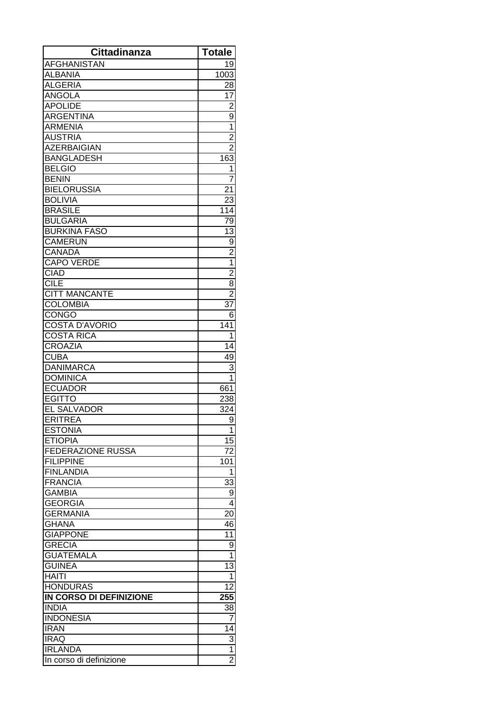| <b>Cittadinanza</b>              | <b>Totale</b>   |
|----------------------------------|-----------------|
| <b>AFGHANISTAN</b>               | 19              |
| <b>ALBANIA</b>                   | 1003            |
| <b>ALGERIA</b>                   | 28              |
| ANGOLA                           | 17              |
| <b>APOLIDE</b>                   | $\overline{2}$  |
| <b>ARGENTINA</b>                 | 9               |
| <b>ARMENIA</b>                   | $\overline{1}$  |
| <b>AUSTRIA</b>                   | $\overline{2}$  |
| <b>AZERBAIGIAN</b>               | $\overline{2}$  |
| <b>BANGLADESH</b>                | 163             |
| <b>BELGIO</b>                    | 1               |
| <b>BENIN</b>                     | $\overline{7}$  |
| <b>BIELORUSSIA</b>               | 21              |
| <b>BOLIVIA</b>                   | 23              |
| <b>BRASILE</b>                   | 114             |
| <b>BULGARIA</b>                  | 79              |
| <b>BURKINA FASO</b>              | $\overline{13}$ |
| <b>CAMERUN</b>                   | $\overline{9}$  |
| <b>CANADA</b>                    | $\frac{2}{1}$   |
| <b>CAPO VERDE</b>                |                 |
| <b>CIAD</b>                      | $\frac{2}{8}$   |
| <b>CILE</b>                      |                 |
| <b>CITT MANCANTE</b>             | $\overline{2}$  |
| <b>COLOMBIA</b>                  | 37              |
| <b>CONGO</b>                     | 6               |
| <b>COSTA D'AVORIO</b>            | 141             |
| <b>COSTA RICA</b>                | 1               |
| <b>CROAZIA</b>                   | $\overline{14}$ |
| <b>CUBA</b>                      | 49              |
| <b>DANIMARCA</b>                 | 3               |
| <b>DOMINICA</b>                  | 1               |
| <b>ECUADOR</b>                   | 661             |
| <b>EGITTO</b>                    | 238             |
| <b>EL SALVADOR</b>               | 324             |
| <b>ERITREA</b>                   | 9               |
| <b>ESTONIA</b>                   | 1               |
| <b>ETIOPIA</b>                   | 15              |
| FEDERAZIONE RUSSA                | 72              |
| <b>FILIPPINE</b>                 | 101             |
| <b>FINLANDIA</b>                 | 1               |
| <b>FRANCIA</b>                   | 33              |
| <b>GAMBIA</b>                    | 9               |
| <b>GEORGIA</b>                   | 4               |
| <b>GERMANIA</b>                  | 20              |
| <b>GHANA</b>                     | 46              |
| <b>GIAPPONE</b>                  | 11              |
| <b>GRECIA</b>                    | 9               |
| <b>GUATEMALA</b>                 | $\overline{1}$  |
| <b>GUINEA</b>                    | $\overline{13}$ |
| <b>HAITI</b>                     | 1               |
| <b>HONDURAS</b>                  | $\overline{12}$ |
| IN CORSO DI DEFINIZIONE          | 255             |
| <b>INDIA</b><br><b>INDONESIA</b> | 38<br>7         |
| <b>IRAN</b>                      |                 |
| <b>IRAQ</b>                      | 14              |
|                                  | $\frac{3}{1}$   |
| <b>IRLANDA</b>                   | $\overline{2}$  |
| In corso di definizione          |                 |